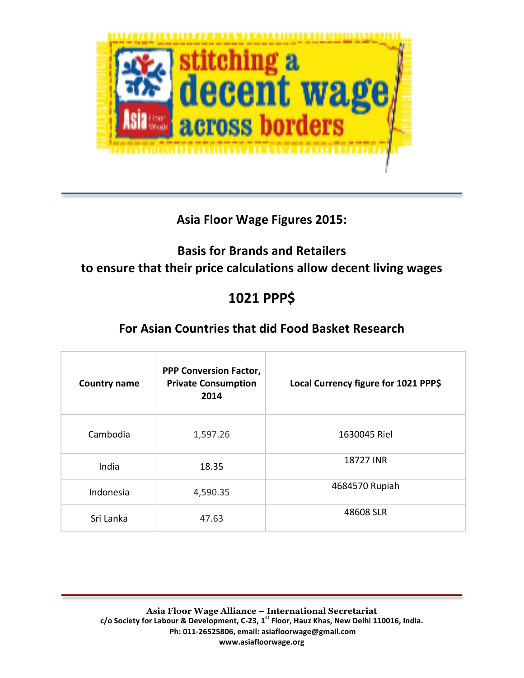

#### **Asia Floor Wage Figures 2015:**

## **Basis for Brands and Retailers** to ensure that their price calculations allow decent living wages

# **1021 PPP\$**

## **For Asian Countries that did Food Basket Research**

| <b>Country name</b> | <b>PPP Conversion Factor,</b><br><b>Private Consumption</b><br>2014 | Local Currency figure for 1021 PPP\$ |
|---------------------|---------------------------------------------------------------------|--------------------------------------|
| Cambodia            | 1,597.26                                                            | 1630045 Riel                         |
| India               | 18.35                                                               | 18727 INR                            |
| Indonesia           | 4,590.35                                                            | 4684570 Rupiah                       |
| Sri Lanka           | 47.63                                                               | 48608 SLR                            |